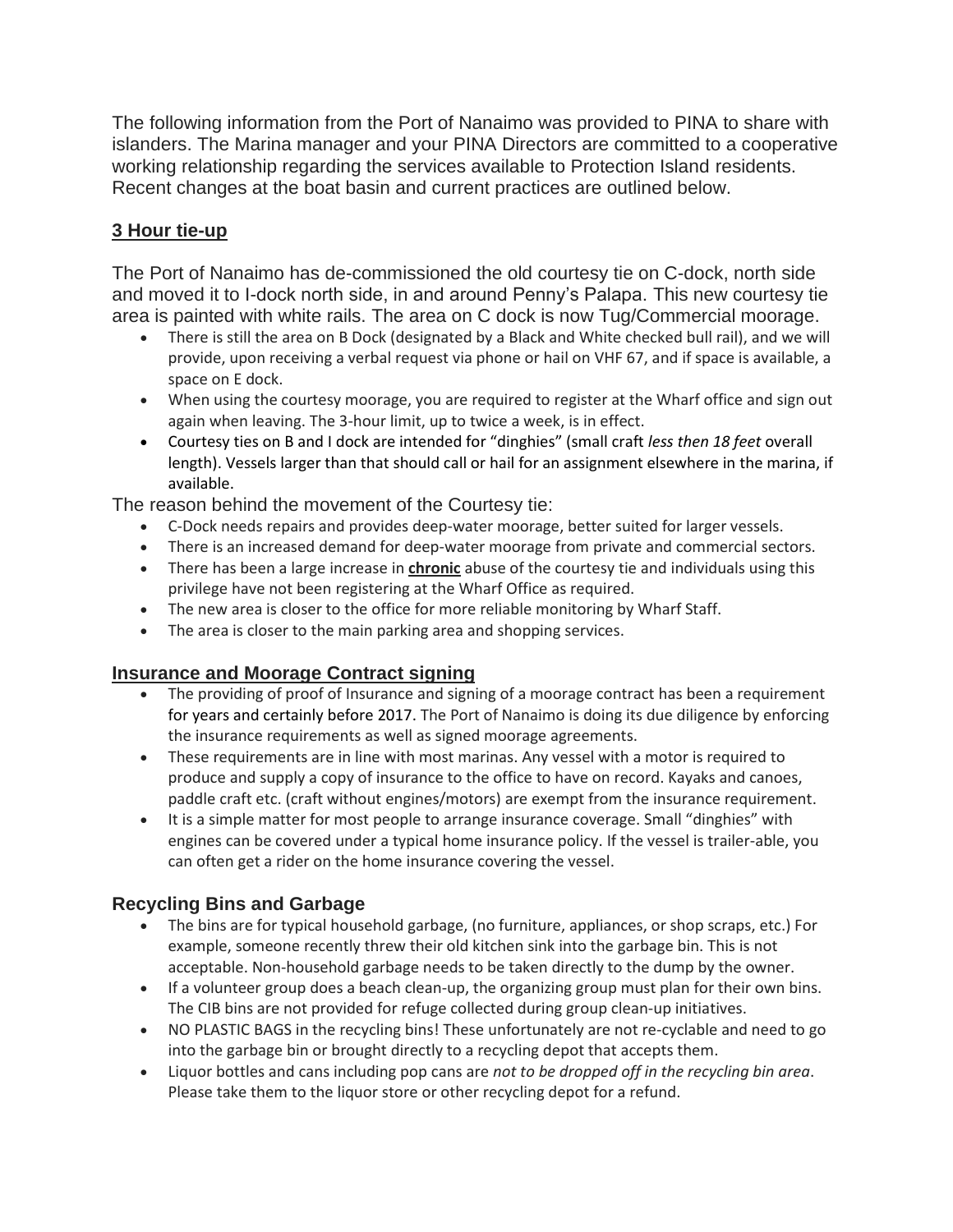The following information from the Port of Nanaimo was provided to PINA to share with islanders. The Marina manager and your PINA Directors are committed to a cooperative working relationship regarding the services available to Protection Island residents. Recent changes at the boat basin and current practices are outlined below.

### **3 Hour tie-up**

The Port of Nanaimo has de-commissioned the old courtesy tie on C-dock, north side and moved it to I-dock north side, in and around Penny's Palapa. This new courtesy tie area is painted with white rails. The area on C dock is now Tug/Commercial moorage.

- There is still the area on B Dock (designated by a Black and White checked bull rail), and we will provide, upon receiving a verbal request via phone or hail on VHF 67, and if space is available, a space on E dock.
- When using the courtesy moorage, you are required to register at the Wharf office and sign out again when leaving. The 3-hour limit, up to twice a week, is in effect.
- Courtesy ties on B and I dock are intended for "dinghies" (small craft *less then 18 feet* overall length). Vessels larger than that should call or hail for an assignment elsewhere in the marina, if available.

The reason behind the movement of the Courtesy tie:

- C-Dock needs repairs and provides deep-water moorage, better suited for larger vessels.
- There is an increased demand for deep-water moorage from private and commercial sectors.
- There has been a large increase in **chronic** abuse of the courtesy tie and individuals using this privilege have not been registering at the Wharf Office as required.
- The new area is closer to the office for more reliable monitoring by Wharf Staff.
- The area is closer to the main parking area and shopping services.

# **Insurance and Moorage Contract signing**

- The providing of proof of Insurance and signing of a moorage contract has been a requirement for years and certainly before 2017. The Port of Nanaimo is doing its due diligence by enforcing the insurance requirements as well as signed moorage agreements.
- These requirements are in line with most marinas. Any vessel with a motor is required to produce and supply a copy of insurance to the office to have on record. Kayaks and canoes, paddle craft etc. (craft without engines/motors) are exempt from the insurance requirement.
- It is a simple matter for most people to arrange insurance coverage. Small "dinghies" with engines can be covered under a typical home insurance policy. If the vessel is trailer-able, you can often get a rider on the home insurance covering the vessel.

# **Recycling Bins and Garbage**

- The bins are for typical household garbage, (no furniture, appliances, or shop scraps, etc.) For example, someone recently threw their old kitchen sink into the garbage bin. This is not acceptable. Non-household garbage needs to be taken directly to the dump by the owner.
- If a volunteer group does a beach clean-up, the organizing group must plan for their own bins. The CIB bins are not provided for refuge collected during group clean-up initiatives.
- NO PLASTIC BAGS in the recycling bins! These unfortunately are not re-cyclable and need to go into the garbage bin or brought directly to a recycling depot that accepts them.
- Liquor bottles and cans including pop cans are *not to be dropped off in the recycling bin area*. Please take them to the liquor store or other recycling depot for a refund.